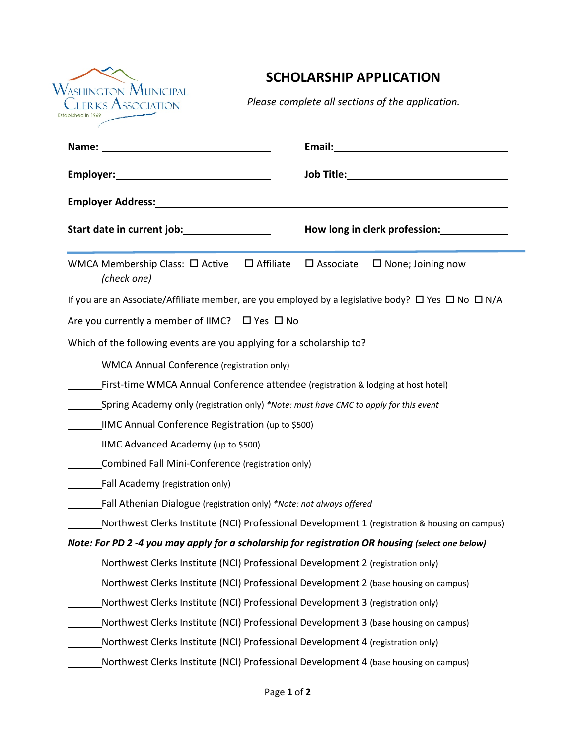

## **SCHOLARSHIP APPLICATION**

*Please complete all sections of the application.* 

|                                                                                                                   | How long in clerk profession: _____________        |
|-------------------------------------------------------------------------------------------------------------------|----------------------------------------------------|
| WMCA Membership Class: $\Box$ Active $\Box$ Affiliate<br>(check one)                                              | $\square$ Associate<br>$\square$ None; Joining now |
| If you are an Associate/Affiliate member, are you employed by a legislative body? $\Box$ Yes $\Box$ No $\Box$ N/A |                                                    |
| Are you currently a member of IIMC? $\Box$ Yes $\Box$ No                                                          |                                                    |
| Which of the following events are you applying for a scholarship to?                                              |                                                    |
| <b>WMCA Annual Conference (registration only)</b>                                                                 |                                                    |
| First-time WMCA Annual Conference attendee (registration & lodging at host hotel)                                 |                                                    |
| Spring Academy only (registration only) *Note: must have CMC to apply for this event                              |                                                    |
| IIMC Annual Conference Registration (up to \$500)                                                                 |                                                    |
| <b>IIMC Advanced Academy (up to \$500)</b>                                                                        |                                                    |
| Combined Fall Mini-Conference (registration only)                                                                 |                                                    |
| Fall Academy (registration only)                                                                                  |                                                    |
| Fall Athenian Dialogue (registration only) *Note: not always offered                                              |                                                    |
| Northwest Clerks Institute (NCI) Professional Development 1 (registration & housing on campus)                    |                                                    |
| Note: For PD 2 -4 you may apply for a scholarship for registration OR housing (select one below)                  |                                                    |
| Northwest Clerks Institute (NCI) Professional Development 2 (registration only)                                   |                                                    |
| Northwest Clerks Institute (NCI) Professional Development 2 (base housing on campus)                              |                                                    |
| Northwest Clerks Institute (NCI) Professional Development 3 (registration only)                                   |                                                    |
| Northwest Clerks Institute (NCI) Professional Development 3 (base housing on campus)                              |                                                    |
| Northwest Clerks Institute (NCI) Professional Development 4 (registration only)                                   |                                                    |
| Northwest Clerks Institute (NCI) Professional Development 4 (base housing on campus)                              |                                                    |